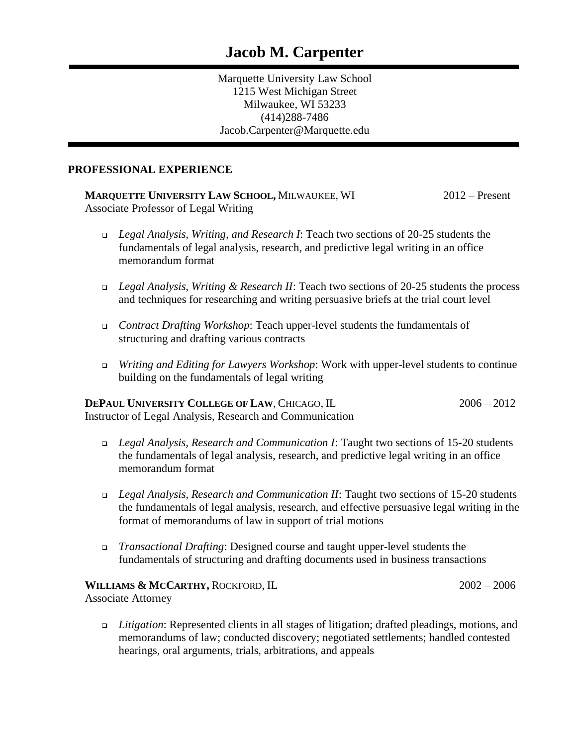Marquette University Law School 1215 West Michigan Street Milwaukee, WI 53233 (414)288-7486 Jacob.Carpenter@Marquette.edu

#### **PROFESSIONAL EXPERIENCE**

**MARQUETTE UNIVERSITY LAW SCHOOL,** MILWAUKEE, WI 2012 – Present Associate Professor of Legal Writing

- ❑ *Legal Analysis, Writing, and Research I*: Teach two sections of 20-25 students the fundamentals of legal analysis, research, and predictive legal writing in an office memorandum format
- ❑ *Legal Analysis, Writing & Research II*: Teach two sections of 20-25 students the process and techniques for researching and writing persuasive briefs at the trial court level
- ❑ *Contract Drafting Workshop*: Teach upper-level students the fundamentals of structuring and drafting various contracts
- ❑ *Writing and Editing for Lawyers Workshop*: Work with upper-level students to continue building on the fundamentals of legal writing

#### **DEPAUL UNIVERSITY COLLEGE OF LAW, CHICAGO, IL 2006 – 2012** Instructor of Legal Analysis, Research and Communication

- ❑ *Legal Analysis, Research and Communication I*: Taught two sections of 15-20 students the fundamentals of legal analysis, research, and predictive legal writing in an office memorandum format
- ❑ *Legal Analysis, Research and Communication II*: Taught two sections of 15-20 students the fundamentals of legal analysis, research, and effective persuasive legal writing in the format of memorandums of law in support of trial motions
- ❑ *Transactional Drafting*: Designed course and taught upper-level students the fundamentals of structuring and drafting documents used in business transactions

## **WILLIAMS & MCCARTHY,** ROCKFORD, IL 2002 – 2006

Associate Attorney

❑ *Litigation*: Represented clients in all stages of litigation; drafted pleadings, motions, and memorandums of law; conducted discovery; negotiated settlements; handled contested hearings, oral arguments, trials, arbitrations, and appeals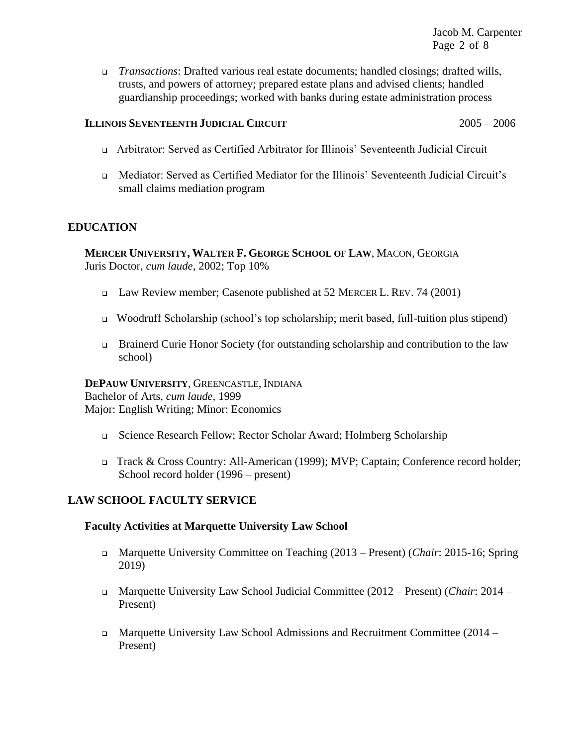❑ *Transactions*: Drafted various real estate documents; handled closings; drafted wills, trusts, and powers of attorney; prepared estate plans and advised clients; handled guardianship proceedings; worked with banks during estate administration process

#### **ILLINOIS SEVENTEENTH JUDICIAL CIRCUIT** 2005 – 2006

- ❑ Arbitrator: Served as Certified Arbitrator for Illinois' Seventeenth Judicial Circuit
- ❑ Mediator: Served as Certified Mediator for the Illinois' Seventeenth Judicial Circuit's small claims mediation program

## **EDUCATION**

**MERCER UNIVERSITY, WALTER F. GEORGE SCHOOL OF LAW**, MACON, GEORGIA Juris Doctor, *cum laude*, 2002; Top 10%

- ❑ Law Review member; Casenote published at 52 MERCER L. REV. 74 (2001)
- ❑ Woodruff Scholarship (school's top scholarship; merit based, full-tuition plus stipend)
- ❑ Brainerd Curie Honor Society (for outstanding scholarship and contribution to the law school)

# **DEPAUW UNIVERSITY**, GREENCASTLE, INDIANA

Bachelor of Arts, *cum laude,* 1999 Major: English Writing; Minor: Economics

- ❑ Science Research Fellow; Rector Scholar Award; Holmberg Scholarship
- ❑ Track & Cross Country: All-American (1999); MVP; Captain; Conference record holder; School record holder (1996 – present)

# **LAW SCHOOL FACULTY SERVICE**

## **Faculty Activities at Marquette University Law School**

- ❑ Marquette University Committee on Teaching (2013 Present) (*Chair*: 2015-16; Spring 2019)
- ❑ Marquette University Law School Judicial Committee (2012 Present) (*Chair*: 2014 Present)
- ❑ Marquette University Law School Admissions and Recruitment Committee (2014 Present)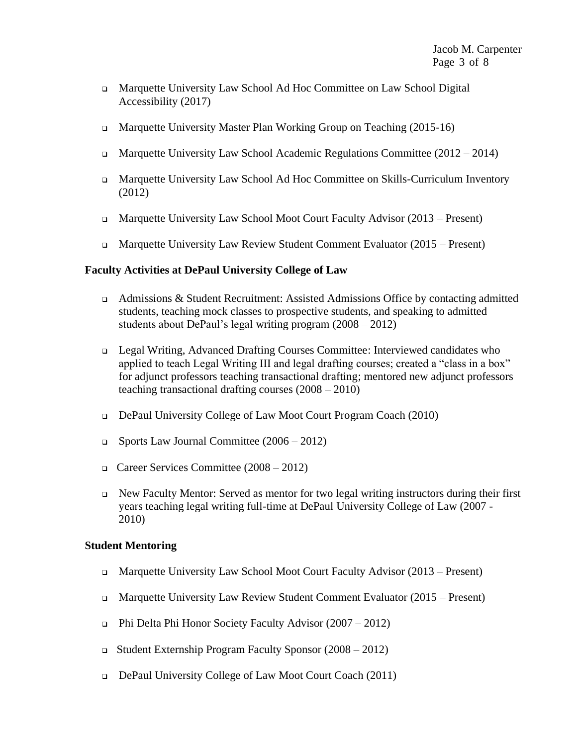- ❑ Marquette University Law School Ad Hoc Committee on Law School Digital Accessibility (2017)
- ❑ Marquette University Master Plan Working Group on Teaching (2015-16)
- ❑ Marquette University Law School Academic Regulations Committee (2012 2014)
- ❑ Marquette University Law School Ad Hoc Committee on Skills-Curriculum Inventory (2012)
- ❑ Marquette University Law School Moot Court Faculty Advisor (2013 Present)
- ❑ Marquette University Law Review Student Comment Evaluator (2015 Present)

#### **Faculty Activities at DePaul University College of Law**

- ❑ Admissions & Student Recruitment: Assisted Admissions Office by contacting admitted students, teaching mock classes to prospective students, and speaking to admitted students about DePaul's legal writing program (2008 – 2012)
- ❑ Legal Writing, Advanced Drafting Courses Committee: Interviewed candidates who applied to teach Legal Writing III and legal drafting courses; created a "class in a box" for adjunct professors teaching transactional drafting; mentored new adjunct professors teaching transactional drafting courses (2008 – 2010)
- ❑ DePaul University College of Law Moot Court Program Coach (2010)
- ❑ Sports Law Journal Committee (2006 2012)
- ❑ Career Services Committee (2008 2012)
- ❑ New Faculty Mentor: Served as mentor for two legal writing instructors during their first years teaching legal writing full-time at DePaul University College of Law (2007 - 2010)

#### **Student Mentoring**

- ❑ Marquette University Law School Moot Court Faculty Advisor (2013 Present)
- ❑ Marquette University Law Review Student Comment Evaluator (2015 Present)
- ❑ Phi Delta Phi Honor Society Faculty Advisor (2007 2012)
- ❑ Student Externship Program Faculty Sponsor (2008 2012)
- ❑ DePaul University College of Law Moot Court Coach (2011)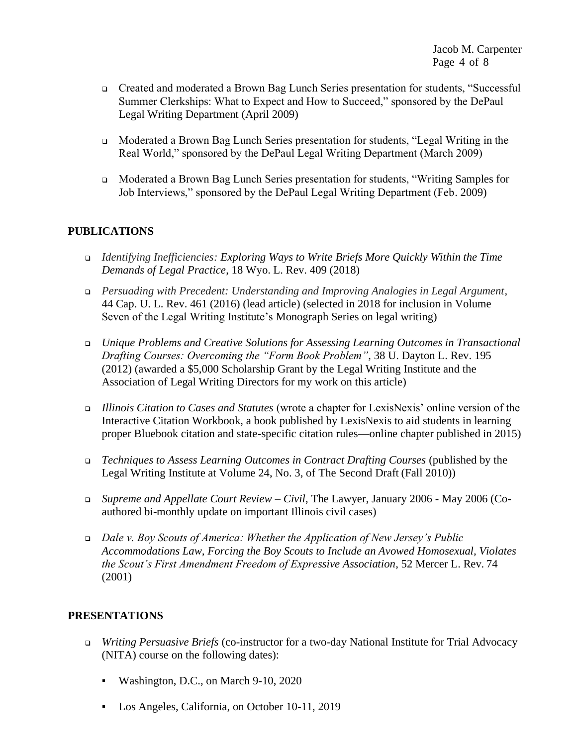Jacob M. Carpenter Page 4 of 8

- ❑ Created and moderated a Brown Bag Lunch Series presentation for students, "Successful Summer Clerkships: What to Expect and How to Succeed," sponsored by the DePaul Legal Writing Department (April 2009)
- ❑ Moderated a Brown Bag Lunch Series presentation for students, "Legal Writing in the Real World," sponsored by the DePaul Legal Writing Department (March 2009)
- ❑ Moderated a Brown Bag Lunch Series presentation for students, "Writing Samples for Job Interviews," sponsored by the DePaul Legal Writing Department (Feb. 2009)

## **PUBLICATIONS**

- ❑ *Identifying Inefficiencies: Exploring Ways to Write Briefs More Quickly Within the Time Demands of Legal Practice*, 18 Wyo. L. Rev. 409 (2018)
- ❑ *Persuading with Precedent: Understanding and Improving Analogies in Legal Argument*, 44 Cap. U. L. Rev. 461 (2016) (lead article) (selected in 2018 for inclusion in Volume Seven of the Legal Writing Institute's Monograph Series on legal writing)
- ❑ *Unique Problems and Creative Solutions for Assessing Learning Outcomes in Transactional Drafting Courses: Overcoming the "Form Book Problem"*, 38 U. Dayton L. Rev. 195 (2012) (awarded a \$5,000 Scholarship Grant by the Legal Writing Institute and the Association of Legal Writing Directors for my work on this article)
- ❑ *Illinois Citation to Cases and Statutes* (wrote a chapter for LexisNexis' online version of the Interactive Citation Workbook, a book published by LexisNexis to aid students in learning proper Bluebook citation and state-specific citation rules—online chapter published in 2015)
- ❑ *Techniques to Assess Learning Outcomes in Contract Drafting Courses* (published by the Legal Writing Institute at Volume 24, No. 3, of The Second Draft (Fall 2010))
- ❑ *Supreme and Appellate Court Review – Civil*, The Lawyer, January 2006 May 2006 (Coauthored bi-monthly update on important Illinois civil cases)
- ❑ *Dale v. Boy Scouts of America: Whether the Application of New Jersey's Public Accommodations Law, Forcing the Boy Scouts to Include an Avowed Homosexual, Violates the Scout's First Amendment Freedom of Expressive Association*, 52 Mercer L. Rev. 74 (2001)

## **PRESENTATIONS**

- ❑ *Writing Persuasive Briefs* (co-instructor for a two-day National Institute for Trial Advocacy (NITA) course on the following dates):
	- Washington, D.C., on March 9-10, 2020
	- Los Angeles, California, on October 10-11, 2019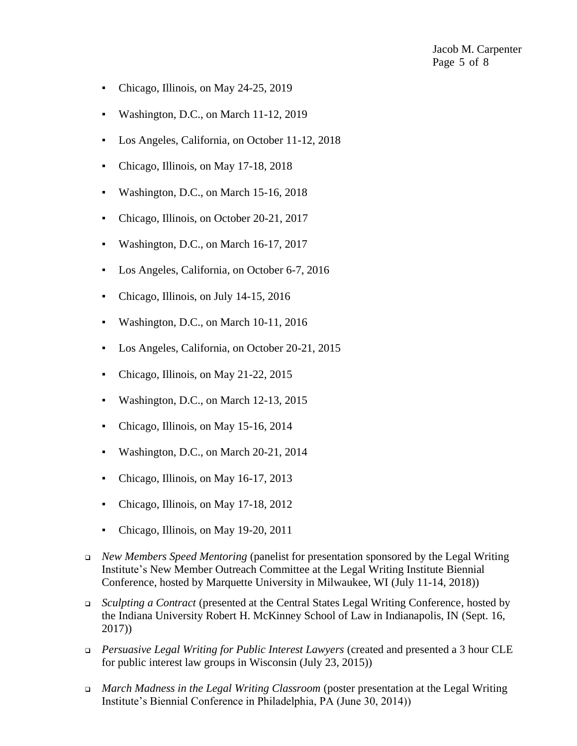Jacob M. Carpenter Page 5 of 8

- Chicago, Illinois, on May 24-25, 2019
- Washington, D.C., on March 11-12, 2019
- Los Angeles, California, on October 11-12, 2018
- Chicago, Illinois, on May 17-18, 2018
- Washington, D.C., on March 15-16, 2018
- Chicago, Illinois, on October 20-21, 2017
- Washington, D.C., on March 16-17, 2017
- Los Angeles, California, on October 6-7, 2016
- Chicago, Illinois, on July 14-15, 2016
- Washington, D.C., on March 10-11, 2016
- Los Angeles, California, on October 20-21, 2015
- Chicago, Illinois, on May 21-22, 2015
- Washington, D.C., on March 12-13, 2015
- Chicago, Illinois, on May 15-16, 2014
- Washington, D.C., on March 20-21, 2014
- Chicago, Illinois, on May 16-17, 2013
- Chicago, Illinois, on May 17-18, 2012
- Chicago, Illinois, on May 19-20, 2011
- ❑ *New Members Speed Mentoring* (panelist for presentation sponsored by the Legal Writing Institute's New Member Outreach Committee at the Legal Writing Institute Biennial Conference, hosted by Marquette University in Milwaukee, WI (July 11-14, 2018))
- ❑ *Sculpting a Contract* (presented at the Central States Legal Writing Conference, hosted by the Indiana University Robert H. McKinney School of Law in Indianapolis, IN (Sept. 16, 2017))
- ❑ *Persuasive Legal Writing for Public Interest Lawyers* (created and presented a 3 hour CLE for public interest law groups in Wisconsin (July 23, 2015))
- ❑ *March Madness in the Legal Writing Classroom* (poster presentation at the Legal Writing Institute's Biennial Conference in Philadelphia, PA (June 30, 2014))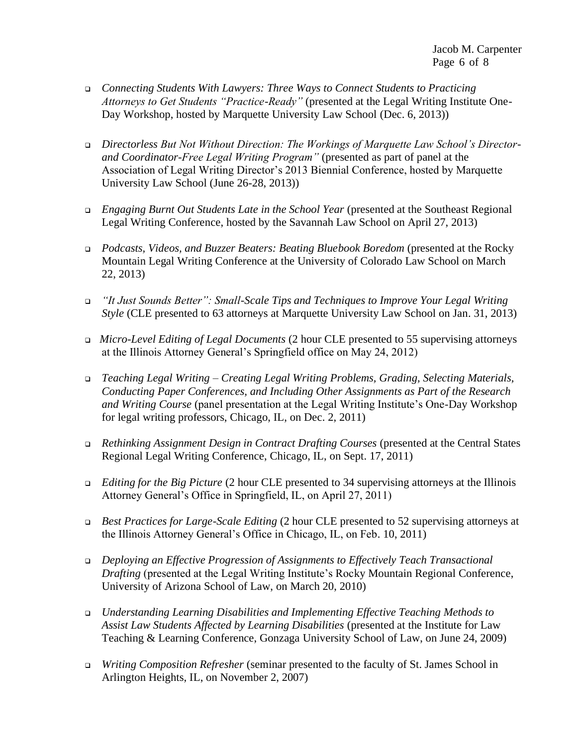- ❑ *Connecting Students With Lawyers: Three Ways to Connect Students to Practicing Attorneys to Get Students "Practice-Ready"* (presented at the Legal Writing Institute One-Day Workshop, hosted by Marquette University Law School (Dec. 6, 2013))
- ❑ *Directorless But Not Without Direction: The Workings of Marquette Law School's Directorand Coordinator-Free Legal Writing Program"* (presented as part of panel at the Association of Legal Writing Director's 2013 Biennial Conference, hosted by Marquette University Law School (June 26-28, 2013))
- ❑ *Engaging Burnt Out Students Late in the School Year* (presented at the Southeast Regional Legal Writing Conference, hosted by the Savannah Law School on April 27, 2013)
- ❑ *Podcasts, Videos, and Buzzer Beaters: Beating Bluebook Boredom* (presented at the Rocky Mountain Legal Writing Conference at the University of Colorado Law School on March 22, 2013)
- ❑ *"It Just Sounds Better": Small-Scale Tips and Techniques to Improve Your Legal Writing Style* (CLE presented to 63 attorneys at Marquette University Law School on Jan. 31, 2013)
- ❑ *Micro-Level Editing of Legal Documents* (2 hour CLE presented to 55 supervising attorneys at the Illinois Attorney General's Springfield office on May 24, 2012)
- ❑ *Teaching Legal Writing – Creating Legal Writing Problems, Grading, Selecting Materials, Conducting Paper Conferences, and Including Other Assignments as Part of the Research and Writing Course* (panel presentation at the Legal Writing Institute's One-Day Workshop for legal writing professors, Chicago, IL, on Dec. 2, 2011)
- ❑ *Rethinking Assignment Design in Contract Drafting Courses* (presented at the Central States Regional Legal Writing Conference, Chicago, IL, on Sept. 17, 2011)
- ❑ *Editing for the Big Picture* (2 hour CLE presented to 34 supervising attorneys at the Illinois Attorney General's Office in Springfield, IL, on April 27, 2011)
- ❑ *Best Practices for Large-Scale Editing* (2 hour CLE presented to 52 supervising attorneys at the Illinois Attorney General's Office in Chicago, IL, on Feb. 10, 2011)
- ❑ *Deploying an Effective Progression of Assignments to Effectively Teach Transactional Drafting* (presented at the Legal Writing Institute's Rocky Mountain Regional Conference, University of Arizona School of Law, on March 20, 2010)
- ❑ *Understanding Learning Disabilities and Implementing Effective Teaching Methods to Assist Law Students Affected by Learning Disabilities* (presented at the Institute for Law Teaching & Learning Conference, Gonzaga University School of Law, on June 24, 2009)
- ❑ *Writing Composition Refresher* (seminar presented to the faculty of St. James School in Arlington Heights, IL, on November 2, 2007)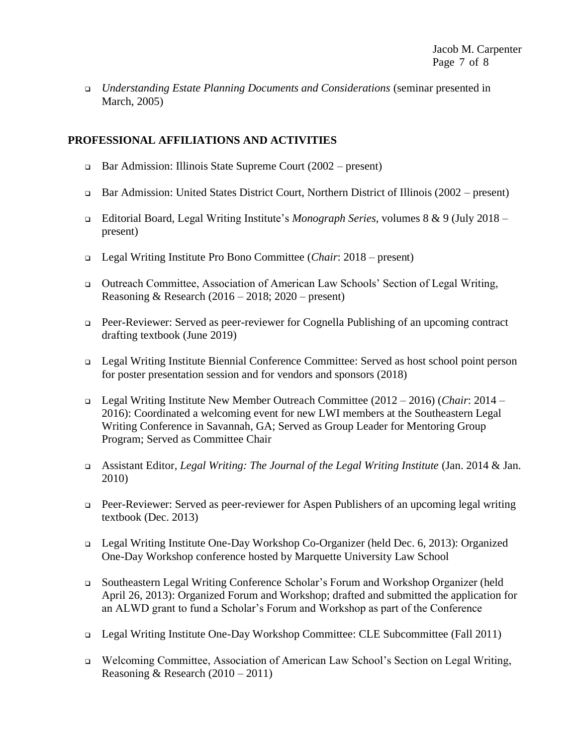❑ *Understanding Estate Planning Documents and Considerations* (seminar presented in March, 2005)

## **PROFESSIONAL AFFILIATIONS AND ACTIVITIES**

- ❑ Bar Admission: Illinois State Supreme Court (2002 present)
- ❑ Bar Admission: United States District Court, Northern District of Illinois (2002 present)
- ❑ Editorial Board, Legal Writing Institute's *Monograph Series*, volumes 8 & 9 (July 2018 present)
- ❑ Legal Writing Institute Pro Bono Committee (*Chair*: 2018 present)
- ❑ Outreach Committee, Association of American Law Schools' Section of Legal Writing, Reasoning & Research (2016 – 2018; 2020 – present)
- ❑ Peer-Reviewer: Served as peer-reviewer for Cognella Publishing of an upcoming contract drafting textbook (June 2019)
- ❑ Legal Writing Institute Biennial Conference Committee: Served as host school point person for poster presentation session and for vendors and sponsors (2018)
- ❑ Legal Writing Institute New Member Outreach Committee (2012 2016) (*Chair*: 2014 2016): Coordinated a welcoming event for new LWI members at the Southeastern Legal Writing Conference in Savannah, GA; Served as Group Leader for Mentoring Group Program; Served as Committee Chair
- ❑ Assistant Editor*, Legal Writing: The Journal of the Legal Writing Institute* (Jan. 2014 & Jan. 2010)
- ❑ Peer-Reviewer: Served as peer-reviewer for Aspen Publishers of an upcoming legal writing textbook (Dec. 2013)
- ❑ Legal Writing Institute One-Day Workshop Co-Organizer (held Dec. 6, 2013): Organized One-Day Workshop conference hosted by Marquette University Law School
- ❑ Southeastern Legal Writing Conference Scholar's Forum and Workshop Organizer (held April 26, 2013): Organized Forum and Workshop; drafted and submitted the application for an ALWD grant to fund a Scholar's Forum and Workshop as part of the Conference
- ❑ Legal Writing Institute One-Day Workshop Committee: CLE Subcommittee (Fall 2011)
- ❑ Welcoming Committee, Association of American Law School's Section on Legal Writing, Reasoning & Research (2010 – 2011)